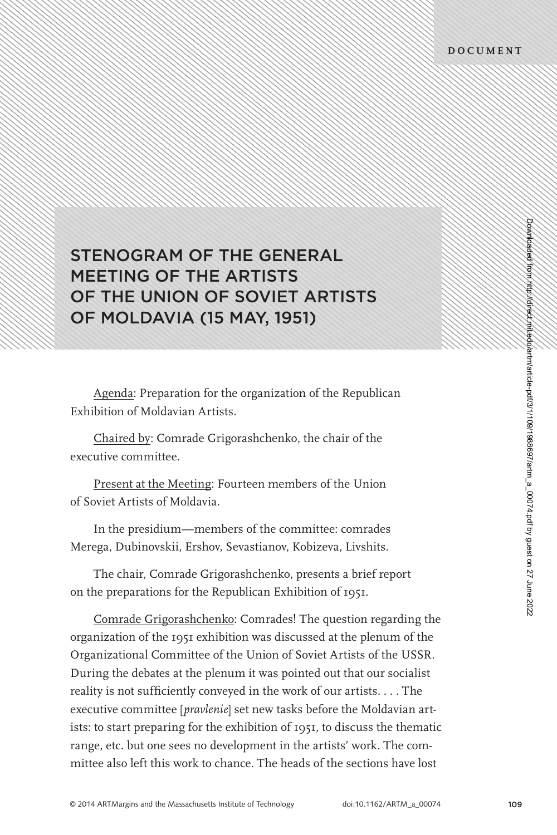## STENOGRAM OF THE GENERAL MEETING OF THE ARTISTS OF THE UNION OF SOVIET ARTISTS OF MOLDAVIA (15 MAY, 1951)

Agenda: Preparation for the organization of the Republican Exhibition of Moldavian Artists.

Chaired by: Comrade Grigorashchenko, the chair of the executive committee.

Present at the Meeting: Fourteen members of the Union of Soviet Artists of Moldavia.

In the presidium—members of the committee: comrades Merega, Dubinovskii, Ershov, Sevastianov, Kobizeva, Livshits.

The chair, Comrade Grigorashchenko, presents a brief report on the preparations for the Republican Exhibition of 1951.

Comrade Grigorashchenko: Comrades! The question regarding the organization of the 1951 exhibition was discussed at the plenum of the Organizational Committee of the Union of Soviet Artists of the USSR. During the debates at the plenum it was pointed out that our socialist reality is not sufficiently conveyed in the work of our artists.  $\dots$  The executive committee [*pravlenie*] set new tasks before the Moldavian artists: to start preparing for the exhibition of 1951, to discuss the thematic range, etc. but one sees no development in the artists' work. The committee also left this work to chance. The heads of the sections have lost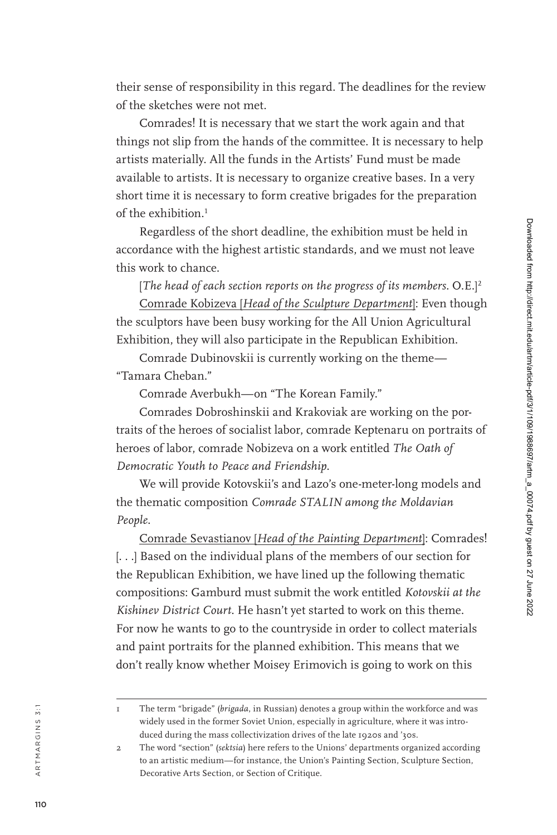their sense of responsibility in this regard. The deadlines for the review of the sketches were not met.

Comrades! It is necessary that we start the work again and that things not slip from the hands of the committee. It is necessary to help artists materially. All the funds in the Artists' Fund must be made available to artists. It is necessary to organize creative bases. In a very short time it is necessary to form creative brigades for the preparation of the exhibition. 1

Regardless of the short deadline, the exhibition must be held in accordance with the highest artistic standards, and we must not leave this work to chance.

[*The head of each section reports on the progress of its members*. O.E.] 2 Comrade Kobizeva [*Head of the Sculpture Department* ]: Even though the sculptors have been busy working for the All Union Agricultural Exhibition, they will also participate in the Republican Exhibition.

Comrade Dubinovskii is currently working on the theme— "Tamara Cheban."

Comrade Averbukh—on "The Korean Family."

Comrades Dobroshinskii and Krakoviak are working on the por traits of the heroes of socialist labor, comrade Keptenaru on portraits of heroes of labor, comrade Nobizeva on a work entitled *The Oath of Democratic Youth to Peace and Friendship* .

We will provide Kotovskii's and Lazo's one-meter-long models and the thematic composition *Comrade STALIN among the Moldavian People* .

Comrade Sevastianov [*Head of the Painting Department* ]: Comrades! [. . .] Based on the individual plans of the members of our section for the Republican Exhibition, we have lined up the following thematic compositions: Gamburd must submit the work entitled *Kotovskii at the Kishinev District Court*. He hasn't yet started to work on this theme. For now he wants to go to the countryside in order to collect materials and paint portraits for the planned exhibition. This means that we don't really know whether Moisey Erimovich is going to work on this

a r t m a r g i n s 3 : 1

<sup>1</sup> The term "brigade" (*brigada*, in Russian) denotes a group within the workforce and was widely used in the former Soviet Union, especially in agriculture, where it was intro duced during the mass collectivization drives of the late 1920s and '30s.

<sup>2</sup> The word "section" (*sektsia*) here refers to the Unions' departments organized according to an artistic medium—for instance, the Union's Painting Section, Sculpture Section, Decorative Arts Section, or Section of Critique.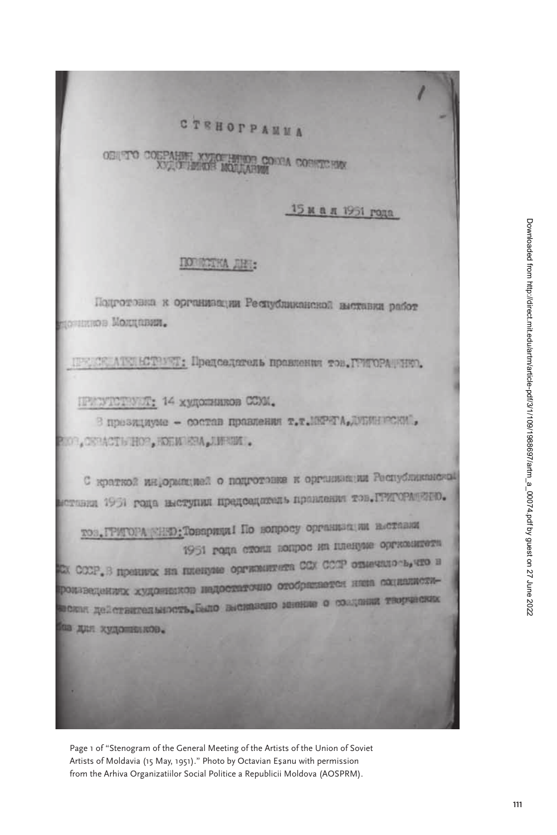## **CTEHOPPANMA**

**OBINTO COBE** HELDE CONNA CORRECTED **TIMOR MO** 

15 м а д 1951 года

## **DODECTRA JIHR:**

Подготовка к организации Республиканской выставки работ понимов Молдавии.

ПРОСКАТЕНСТВУЕТ: Председатель правления тов. ГРИГОРАНИЮ.

ПРИСУТСТВУЮТ: 14 художников ССКИ.

3 презициуме - состав правления т.т. INPETA, UNIMERCKM', BOR, OSPACTIVHOP, ROEMISM, J.WRIM.

С краткой информицией о подготовке к организации Распубликанской нотания 1951 года иметупил председатель правления тов. ГРИГОРАЩЕНО.

тов, ГРИГОРА «НЕФ: Товарици I По вопросу организации выставии 1951 года стоил копрос на пленуме оргнозитета EX COOP, B HOSHING HA INTERNATO OGTERNITEER COX COOP ONESULO by TIO B роизведениях художесков индоститочно отобразвется нин социалисти-SIGNIA RESCRIPCIONALE AND BICHBERIO MIGHTE O CONTINUE TROPICIONE па дин кудошинков.

Page 1 of "Stenogram of the General Meeting of the Artists of the Union of Soviet Artists of Moldavia (15 May, 1951)." Photo by Octavian Esanu with permission from the Arhiva Organizatiilor Social Politice a Republicii Moldova (AOSPRM).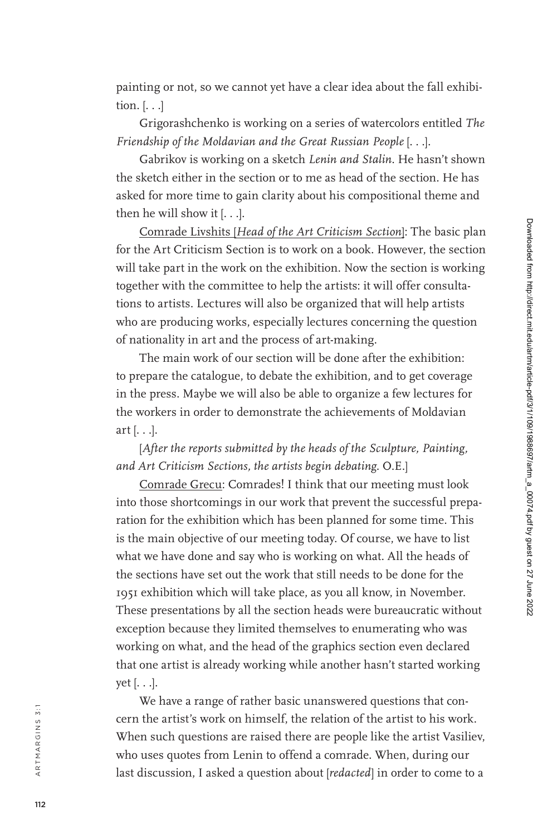painting or not, so we cannot yet have a clear idea about the fall exhibi tion. [. . .]

Grigorashchenko is working on a series of watercolors entitled *The Friendship of the Moldavian and the Great Russian People* [. . .].

Gabrikov is working on a sketch *Lenin and Stalin*. He hasn't shown the sketch either in the section or to me as head of the section. He has asked for more time to gain clarity about his compositional theme and then he will show it [. . .].

Comrade Livshits [*Head of the Art Criticism Section* ]: The basic plan for the Art Criticism Section is to work on a book. However, the section will take part in the work on the exhibition. Now the section is working together with the committee to help the artists: it will offer consulta tions to artists. Lectures will also be organized that will help artists who are producing works, especially lectures concerning the question of nationality in art and the process of art-making.

The main work of our section will be done after the exhibition: to prepare the catalogue, to debate the exhibition, and to get coverage in the press. Maybe we will also be able to organize a few lectures for the workers in order to demonstrate the achievements of Moldavian art [. . .].

[*After the reports submitted by the heads of the Sculpture, Painting, and Art Criticism Sections, the artists begin debating*. O.E.]

Comrade Grecu: Comrades! I think that our meeting must look into those shortcomings in our work that prevent the successful prepa ration for the exhibition which has been planned for some time. This is the main objective of our meeting today. Of course, we have to list what we have done and say who is working on what. All the heads of the sections have set out the work that still needs to be done for the 1951 exhibition which will take place, as you all know, in November. These presentations by all the section heads were bureaucratic without exception because they limited themselves to enumerating who was working on what, and the head of the graphics section even declared that one artist is already working while another hasn't started working yet [. . .].

We have a range of rather basic unanswered questions that con cern the artist's work on himself, the relation of the artist to his work. When such questions are raised there are people like the artist Vasiliev, who uses quotes from Lenin to offend a comrade. When, during our last discussion, I asked a question about [*redacted*] in order to come to a

a r t m a r g i n s 3 : 1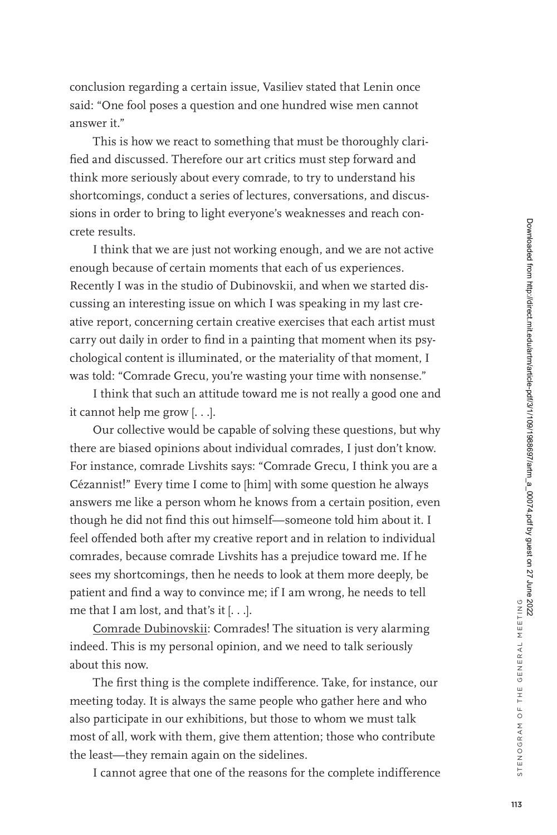conclusion regarding a certain issue, Vasiliev stated that Lenin once said: "One fool poses a question and one hundred wise men cannot answer it."

This is how we react to something that must be thoroughly clarified and discussed. Therefore our art critics must step forward and think more seriously about every comrade, to try to understand his shortcomings, conduct a series of lectures, conversations, and discussions in order to bring to light everyone's weaknesses and reach concrete results.

I think that we are just not working enough, and we are not active enough because of certain moments that each of us experiences. Recently I was in the studio of Dubinovskii, and when we started discussing an interesting issue on which I was speaking in my last creative report, concerning certain creative exercises that each artist must carry out daily in order to find in a painting that moment when its psychological content is illuminated, or the materiality of that moment, I was told: "Comrade Grecu, you're wasting your time with nonsense."

I think that such an attitude toward me is not really a good one and it cannot help me grow [. . .].

Our collective would be capable of solving these questions, but why there are biased opinions about individual comrades, I just don't know. For instance, comrade Livshits says: "Comrade Grecu, I think you are a Cézannist!" Every time I come to [him] with some question he always answers me like a person whom he knows from a certain position, even though he did not find this out himself—someone told him about it. I feel offended both after my creative report and in relation to individual comrades, because comrade Livshits has a prejudice toward me. If he sees my shortcomings, then he needs to look at them more deeply, be patient and find a way to convince me; if I am wrong, he needs to tell me that I am lost, and that's it [. . .].

Comrade Dubinovskii: Comrades! The situation is very alarming indeed. This is my personal opinion, and we need to talk seriously about this now.

The first thing is the complete indifference. Take, for instance, our meeting today. It is always the same people who gather here and who also participate in our exhibitions, but those to whom we must talk most of all, work with them, give them attention; those who contribute the least—they remain again on the sidelines.

I cannot agree that one of the reasons for the complete indifference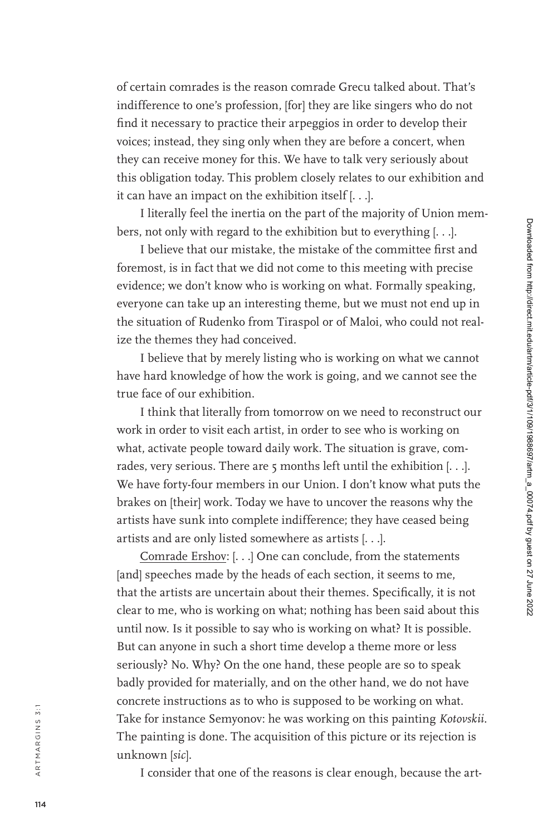of certain comrades is the reason comrade Grecu talked about. That's indifference to one's profession, [for] they are like singers who do not find it necessary to practice their arpeggios in order to develop their voices; instead, they sing only when they are before a concert, when they can receive money for this. We have to talk very seriously about this obligation today. This problem closely relates to our exhibition and it can have an impact on the exhibition itself [. . .].

I literally feel the inertia on the part of the majority of Union mem bers, not only with regard to the exhibition but to everything [. . .].

I believe that our mistake, the mistake of the committee first and foremost, is in fact that we did not come to this meeting with precise evidence; we don't know who is working on what. Formally speaking, everyone can take up an interesting theme, but we must not end up in the situation of Rudenko from Tiraspol or of Maloi, who could not real ize the themes they had conceived.

I believe that by merely listing who is working on what we cannot have hard knowledge of how the work is going, and we cannot see the true face of our exhibition.

I think that literally from tomorrow on we need to reconstruct our work in order to visit each artist, in order to see who is working on what, activate people toward daily work. The situation is grave, com rades, very serious. There are 5 months left until the exhibition  $[...].$ We have forty-four members in our Union. I don't know what puts the brakes on [their] work. Today we have to uncover the reasons why the artists have sunk into complete indifference; they have ceased being artists and are only listed somewhere as artists [. . .].

Comrade Ershov: [...] One can conclude, from the statements [and] speeches made by the heads of each section, it seems to me, that the artists are uncertain about their themes. Specifically, it is not clear to me, who is working on what; nothing has been said about this until now. Is it possible to say who is working on what? It is possible. But can anyone in such a short time develop a theme more or less seriously? No. Why? On the one hand, these people are so to speak badly provided for materially, and on the other hand, we do not have concrete instructions as to who is supposed to be working on what. Take for instance Semyonov: he was working on this painting *Kotovskii*. The painting is done. The acquisition of this picture or its rejection is unknown [*sic*].

I consider that one of the reasons is clear enough, because the art -

a r t m a r g i n s 3 : 1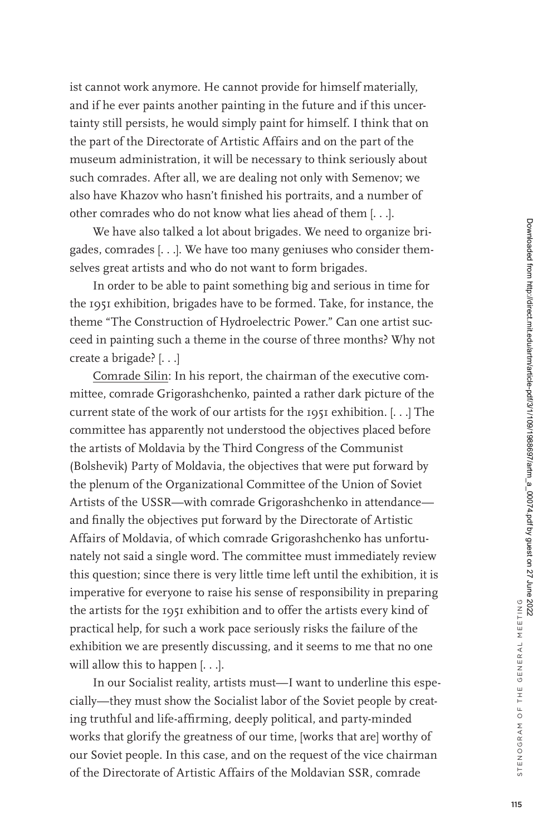ist cannot work anymore. He cannot provide for himself materially, and if he ever paints another painting in the future and if this uncertainty still persists, he would simply paint for himself. I think that on the part of the Directorate of Artistic Affairs and on the part of the museum administration, it will be necessary to think seriously about such comrades. After all, we are dealing not only with Semenov; we also have Khazov who hasn't finished his portraits, and a number of other comrades who do not know what lies ahead of them [. . .].

We have also talked a lot about brigades. We need to organize brigades, comrades [. . .]. We have too many geniuses who consider themselves great artists and who do not want to form brigades.

In order to be able to paint something big and serious in time for the 1951 exhibition, brigades have to be formed. Take, for instance, the theme "The Construction of Hydroelectric Power." Can one artist succeed in painting such a theme in the course of three months? Why not create a brigade? [. . .]

Comrade Silin: In his report, the chairman of the executive committee, comrade Grigorashchenko, painted a rather dark picture of the current state of the work of our artists for the 1951 exhibition. [. . .] The committee has apparently not understood the objectives placed before the artists of Moldavia by the Third Congress of the Communist (Bolshevik) Party of Moldavia, the objectives that were put forward by the plenum of the Organizational Committee of the Union of Soviet Artists of the USSR—with comrade Grigorashchenko in attendance and finally the objectives put forward by the Directorate of Artistic Affairs of Moldavia, of which comrade Grigorashchenko has unfortunately not said a single word. The committee must immediately review this question; since there is very little time left until the exhibition, it is imperative for everyone to raise his sense of responsibility in preparing the artists for the 1951 exhibition and to offer the artists every kind of practical help, for such a work pace seriously risks the failure of the exhibition we are presently discussing, and it seems to me that no one will allow this to happen [...].

In our Socialist reality, artists must—I want to underline this especially—they must show the Socialist labor of the Soviet people by creating truthful and life-affirming, deeply political, and party-minded works that glorify the greatness of our time, [works that are] worthy of our Soviet people. In this case, and on the request of the vice chairman of the Directorate of Artistic Affairs of the Moldavian SSR, comrade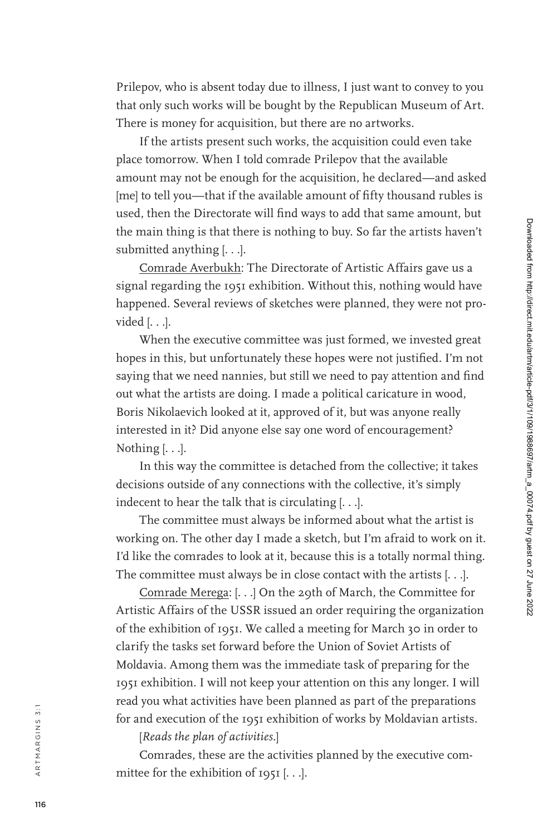If the artists present such works, the acquisition could even take place tomorrow. When I told comrade Prilepov that the available amount may not be enough for the acquisition, he declared—and asked [me] to tell you-that if the available amount of fifty thousand rubles is used, then the Directorate will find ways to add that same amount, but the main thing is that there is nothing to buy. So far the artists haven't submitted anything [. . .].

Comrade Averbukh: The Directorate of Artistic Affairs gave us a signal regarding the 1951 exhibition. Without this, nothing would have happened. Several reviews of sketches were planned, they were not pro vided [. . .].

When the executive committee was just formed, we invested great hopes in this, but unfortunately these hopes were not justified. I'm not saying that we need nannies, but still we need to pay attention and find out what the artists are doing. I made a political caricature in wood, Boris Nikolaevich looked at it, approved of it, but was anyone really interested in it? Did anyone else say one word of encouragement? Nothing [. . .].

In this way the committee is detached from the collective; it takes decisions outside of any connections with the collective, it's simply indecent to hear the talk that is circulating [. . .].

The committee must always be informed about what the artist is working on. The other day I made a sketch, but I'm afraid to work on it. I'd like the comrades to look at it, because this is a totally normal thing. The committee must always be in close contact with the artists [. . .].

Comrade Merega: [. . .] On the 29th of March, the Committee for Artistic Affairs of the USSR issued an order requiring the organization of the exhibition of 1951. We called a meeting for March 30 in order to clarify the tasks set forward before the Union of Soviet Artists of Moldavia. Among them was the immediate task of preparing for the 1951 exhibition. I will not keep your attention on this any longer. I will read you what activities have been planned as part of the preparations for and execution of the 1951 exhibition of works by Moldavian artists.

[*Reads the plan of activities.*]

Comrades, these are the activities planned by the executive com mittee for the exhibition of 1951 [. . .].

a r t m a r g i n s 3 : 1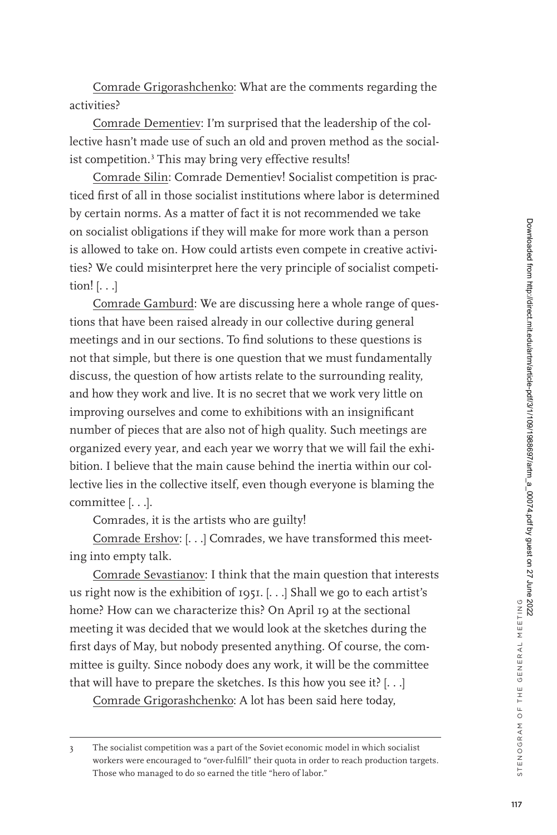Comrade Grigorashchenko: What are the comments regarding the activities?

Comrade Dementiev: I'm surprised that the leadership of the collective hasn't made use of such an old and proven method as the socialist competition.<sup>3</sup> This may bring very effective results!

Comrade Silin: Comrade Dementiev! Socialist competition is practiced first of all in those socialist institutions where labor is determined by certain norms. As a matter of fact it is not recommended we take on socialist obligations if they will make for more work than a person is allowed to take on. How could artists even compete in creative activities? We could misinterpret here the very principle of socialist competition! [. . .]

Comrade Gamburd: We are discussing here a whole range of questions that have been raised already in our collective during general meetings and in our sections. To find solutions to these questions is not that simple, but there is one question that we must fundamentally discuss, the question of how artists relate to the surrounding reality, and how they work and live. It is no secret that we work very little on improving ourselves and come to exhibitions with an insignificant number of pieces that are also not of high quality. Such meetings are organized every year, and each year we worry that we will fail the exhibition. I believe that the main cause behind the inertia within our collective lies in the collective itself, even though everyone is blaming the committee [. . .].

Comrades, it is the artists who are guilty!

Comrade Ershov: [. . .] Comrades, we have transformed this meeting into empty talk.

Comrade Sevastianov: I think that the main question that interests us right now is the exhibition of 1951. [. . .] Shall we go to each artist's home? How can we characterize this? On April 19 at the sectional meeting it was decided that we would look at the sketches during the first days of May, but nobody presented anything. Of course, the committee is guilty. Since nobody does any work, it will be the committee that will have to prepare the sketches. Is this how you see it?  $[...]$ Comrade Grigorashchenko: A lot has been said here today,

<sup>3</sup> The socialist competition was a part of the Soviet economic model in which socialist workers were encouraged to "over-fulfill" their quota in order to reach production targets. Those who managed to do so earned the title "hero of labor."